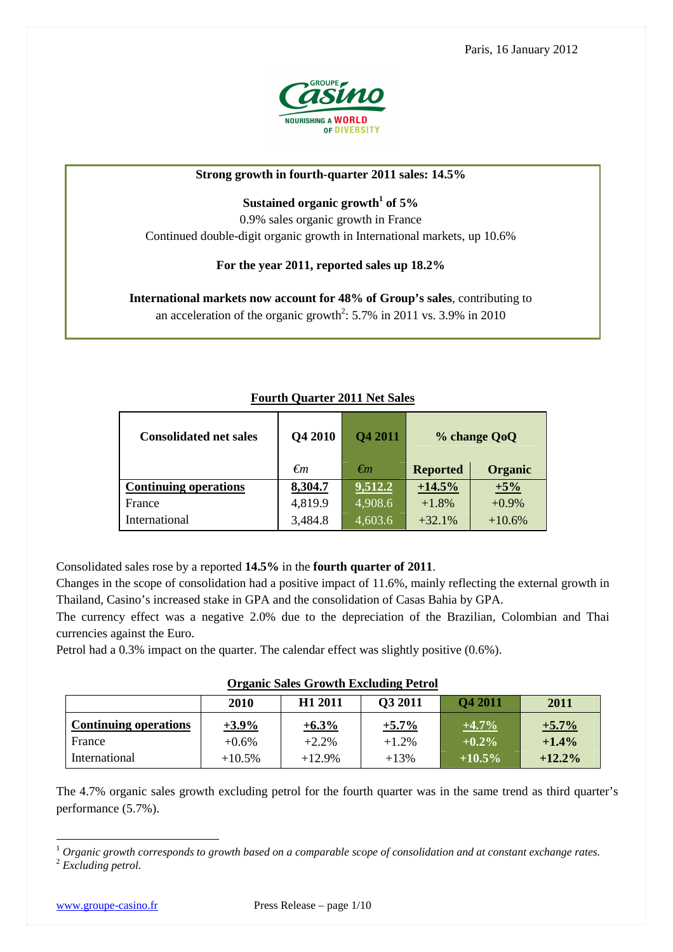Paris, 16 January 2012



### **Strong growth in fourth-quarter 2011 sales: 14.5%**

# **Sustained organic growth<sup>1</sup> of 5%**

0.9% sales organic growth in France Continued double-digit organic growth in International markets, up 10.6%

### **For the year 2011, reported sales up 18.2%**

**International markets now account for 48% of Group's sales**, contributing to an acceleration of the organic growth<sup>2</sup>:  $5.7\%$  in 2011 vs.  $3.9\%$  in 2010

| <b>Consolidated net sales</b> | Q4 2010 | <b>Q4 2011</b> | % change QoQ    |                |
|-------------------------------|---------|----------------|-----------------|----------------|
|                               | €m      | $\epsilon$ m   | <b>Reported</b> | <b>Organic</b> |
| <b>Continuing operations</b>  | 8,304.7 | 9,512.2        | $+14.5%$        | $+5%$          |
| France                        | 4,819.9 | 4,908.6        | $+1.8%$         | $+0.9%$        |
| International                 | 3,484.8 | 4,603.6        | $+32.1%$        | $+10.6%$       |

## **Fourth Quarter 2011 Net Sales**

Consolidated sales rose by a reported **14.5%** in the **fourth quarter of 2011**.

Changes in the scope of consolidation had a positive impact of 11.6%, mainly reflecting the external growth in Thailand, Casino's increased stake in GPA and the consolidation of Casas Bahia by GPA.

The currency effect was a negative 2.0% due to the depreciation of the Brazilian, Colombian and Thai currencies against the Euro.

Petrol had a 0.3% impact on the quarter. The calendar effect was slightly positive (0.6%).

|                              | 2010      | H1 2011  | <b>O3 2011</b> | <b>O4 2011</b> | 2011      |
|------------------------------|-----------|----------|----------------|----------------|-----------|
| <b>Continuing operations</b> | $+3.9\%$  | $+6.3\%$ | $+5.7\%$       | $+4.7\%$       | $+5.7%$   |
| France                       | $+0.6\%$  | $+2.2%$  | $+1.2%$        | $+0.2\%$       | $+1.4\%$  |
| International                | $+10.5\%$ | $+12.9%$ | $+13%$         | $+10.5\%$      | $+12.2\%$ |

The 4.7% organic sales growth excluding petrol for the fourth quarter was in the same trend as third quarter's performance (5.7%).

<sup>1</sup> Organic growth corresponds to growth based on a comparable scope of consolidation and at constant exchange rates. <sup>2</sup> *Excluding petrol.*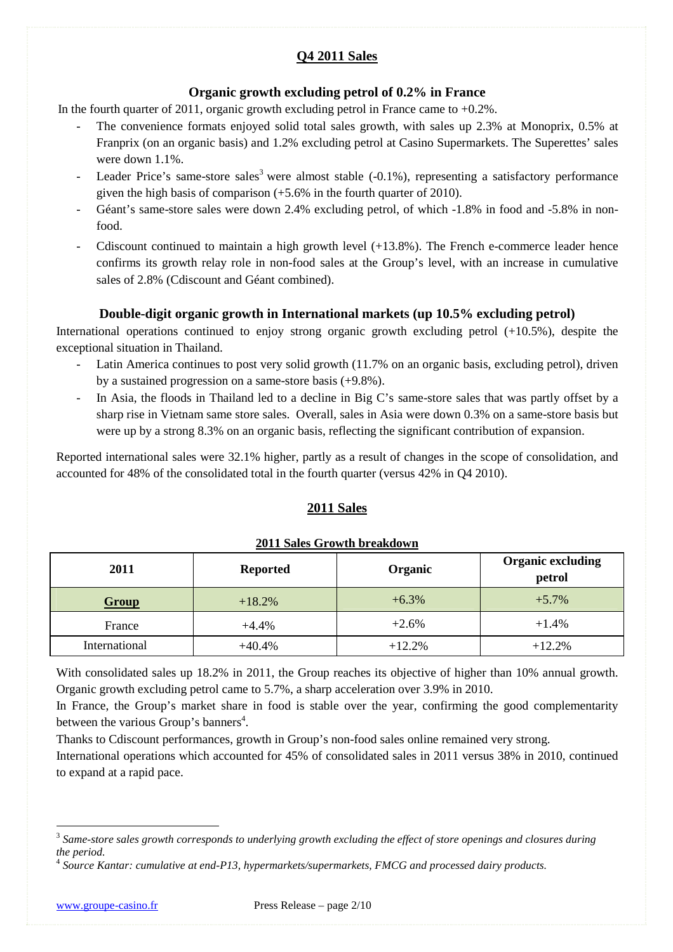# **Q4 2011 Sales**

# **Organic growth excluding petrol of 0.2% in France**

In the fourth quarter of 2011, organic growth excluding petrol in France came to  $+0.2\%$ .

- The convenience formats enjoyed solid total sales growth, with sales up 2.3% at Monoprix, 0.5% at Franprix (on an organic basis) and 1.2% excluding petrol at Casino Supermarkets. The Superettes' sales were down 1.1%.
- Leader Price's same-store sales<sup>3</sup> were almost stable (-0.1%), representing a satisfactory performance given the high basis of comparison  $(+5.6\%$  in the fourth quarter of 2010).
- Géant's same-store sales were down 2.4% excluding petrol, of which -1.8% in food and -5.8% in nonfood.
- Cdiscount continued to maintain a high growth level  $(+13.8\%)$ . The French e-commerce leader hence confirms its growth relay role in non-food sales at the Group's level, with an increase in cumulative sales of 2.8% (Cdiscount and Géant combined).

# **Double-digit organic growth in International markets (up 10.5% excluding petrol)**

International operations continued to enjoy strong organic growth excluding petrol (+10.5%), despite the exceptional situation in Thailand.

- Latin America continues to post very solid growth (11.7% on an organic basis, excluding petrol), driven by a sustained progression on a same-store basis (+9.8%).
- In Asia, the floods in Thailand led to a decline in Big C's same-store sales that was partly offset by a sharp rise in Vietnam same store sales. Overall, sales in Asia were down 0.3% on a same-store basis but were up by a strong 8.3% on an organic basis, reflecting the significant contribution of expansion.

Reported international sales were 32.1% higher, partly as a result of changes in the scope of consolidation, and accounted for 48% of the consolidated total in the fourth quarter (versus 42% in Q4 2010).

# **2011 Sales**

| 2011          | <b>Reported</b> | Organic  | <b>Organic excluding</b><br>petrol |
|---------------|-----------------|----------|------------------------------------|
| Group         | $+18.2%$        | $+6.3%$  | $+5.7\%$                           |
| France        | $+4.4%$         | $+2.6%$  | $+1.4%$                            |
| International | $+40.4%$        | $+12.2%$ | $+12.2%$                           |

### **2011 Sales Growth breakdown**

With consolidated sales up 18.2% in 2011, the Group reaches its objective of higher than 10% annual growth. Organic growth excluding petrol came to 5.7%, a sharp acceleration over 3.9% in 2010.

In France, the Group's market share in food is stable over the year, confirming the good complementarity between the various Group's banners<sup>4</sup>.

Thanks to Cdiscount performances, growth in Group's non-food sales online remained very strong.

International operations which accounted for 45% of consolidated sales in 2011 versus 38% in 2010, continued to expand at a rapid pace.

<sup>&</sup>lt;sup>3</sup> Same-store sales growth corresponds to underlying growth excluding the effect of store openings and closures during *the period.* 

<sup>4</sup> *Source Kantar: cumulative at end-P13, hypermarkets/supermarkets, FMCG and processed dairy products.*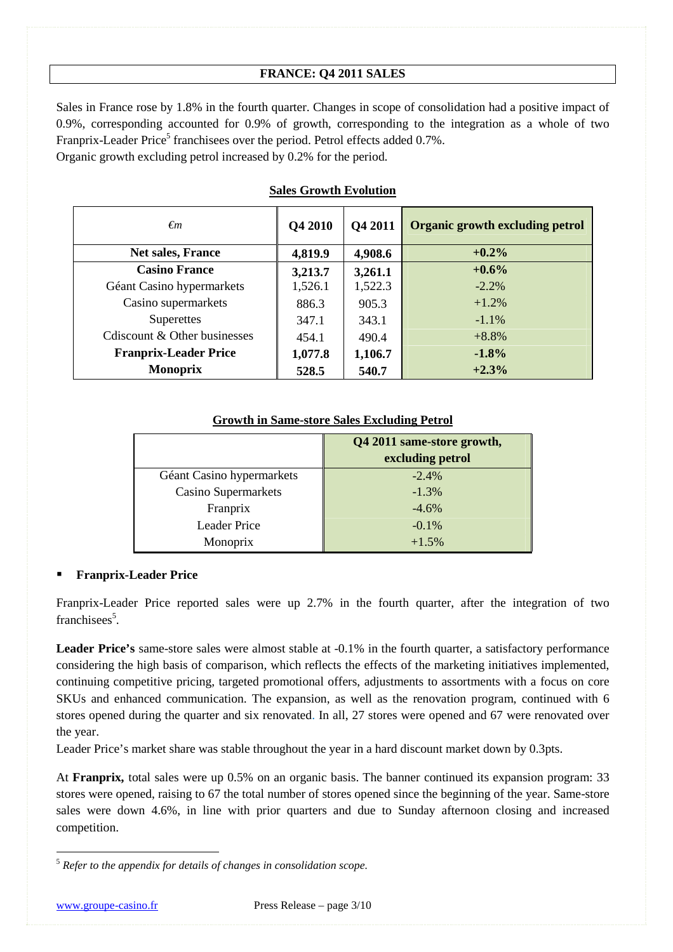## **FRANCE: Q4 2011 SALES**

Sales in France rose by 1.8% in the fourth quarter. Changes in scope of consolidation had a positive impact of 0.9%, corresponding accounted for 0.9% of growth, corresponding to the integration as a whole of two Franprix-Leader Price<sup>5</sup> franchisees over the period. Petrol effects added 0.7%. Organic growth excluding petrol increased by 0.2% for the period.

| $\epsilon$ m                  | Q4 2010 | <b>O4 2011</b> | <b>Organic growth excluding petrol</b> |
|-------------------------------|---------|----------------|----------------------------------------|
| Net sales, France             | 4,819.9 | 4,908.6        | $+0.2%$                                |
| <b>Casino France</b>          | 3,213.7 | 3,261.1        | $+0.6%$                                |
| Géant Casino hypermarkets     | 1,526.1 | 1,522.3        | $-2.2\%$                               |
| Casino supermarkets           | 886.3   | 905.3          | $+1.2%$                                |
| Superettes                    | 347.1   | 343.1          | $-1.1\%$                               |
| Consequent & Other businesses | 454.1   | 490.4          | $+8.8%$                                |
| <b>Franprix-Leader Price</b>  | 1,077.8 | 1,106.7        | $-1.8%$                                |
| <b>Monoprix</b>               | 528.5   | 540.7          | $+2.3%$                                |

## **Sales Growth Evolution**

### **Growth in Same-store Sales Excluding Petrol**

|                            | Q4 2011 same-store growth,<br>excluding petrol |
|----------------------------|------------------------------------------------|
| Géant Casino hypermarkets  | $-2.4%$                                        |
| <b>Casino Supermarkets</b> | $-1.3\%$                                       |
| Franprix                   | $-4.6%$                                        |
| <b>Leader Price</b>        | $-0.1\%$                                       |
| Monoprix                   | $+1.5%$                                        |

### **Franprix-Leader Price**

Franprix-Leader Price reported sales were up 2.7% in the fourth quarter, after the integration of two franchisees<sup>5</sup>.

**Leader Price's** same-store sales were almost stable at -0.1% in the fourth quarter, a satisfactory performance considering the high basis of comparison, which reflects the effects of the marketing initiatives implemented, continuing competitive pricing, targeted promotional offers, adjustments to assortments with a focus on core SKUs and enhanced communication. The expansion, as well as the renovation program, continued with 6 stores opened during the quarter and six renovated. In all, 27 stores were opened and 67 were renovated over the year.

Leader Price's market share was stable throughout the year in a hard discount market down by 0.3pts.

At **Franprix,** total sales were up 0.5% on an organic basis. The banner continued its expansion program: 33 stores were opened, raising to 67 the total number of stores opened since the beginning of the year. Same-store sales were down 4.6%, in line with prior quarters and due to Sunday afternoon closing and increased competition.

<sup>5</sup> *Refer to the appendix for details of changes in consolidation scope.*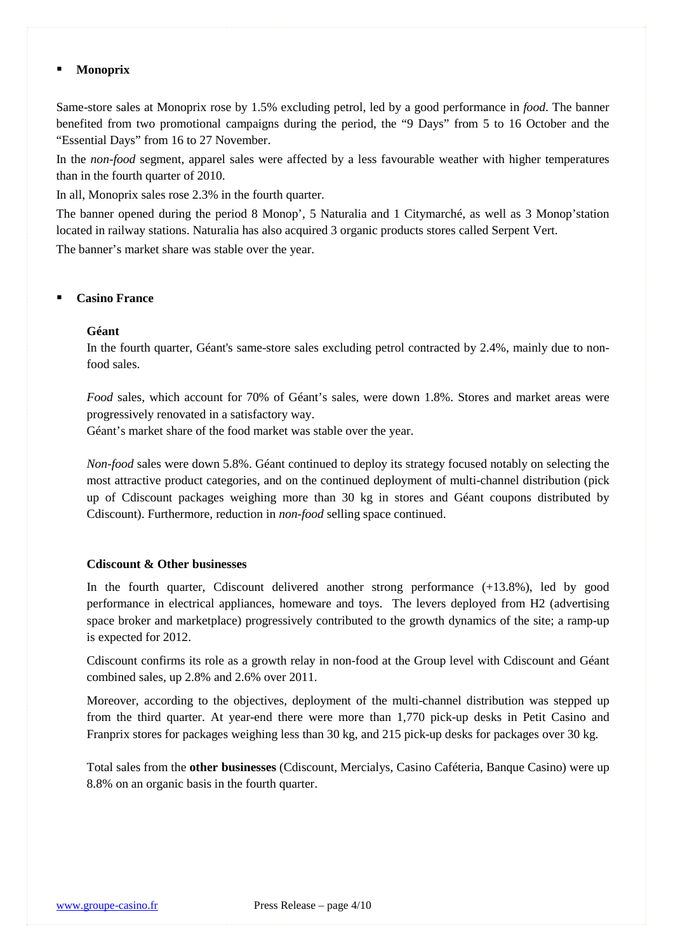#### **Monoprix**

Same-store sales at Monoprix rose by 1.5% excluding petrol, led by a good performance in *food*. The banner benefited from two promotional campaigns during the period, the "9 Days" from 5 to 16 October and the "Essential Days" from 16 to 27 November.

In the *non-food* segment, apparel sales were affected by a less favourable weather with higher temperatures than in the fourth quarter of 2010.

In all, Monoprix sales rose 2.3% in the fourth quarter.

The banner opened during the period 8 Monop', 5 Naturalia and 1 Citymarché, as well as 3 Monop'station located in railway stations. Naturalia has also acquired 3 organic products stores called Serpent Vert.

The banner's market share was stable over the year.

#### **Casino France**

#### **Géant**

In the fourth quarter, Géant's same-store sales excluding petrol contracted by 2.4%, mainly due to nonfood sales.

*Food* sales, which account for 70% of Géant's sales, were down 1.8%. Stores and market areas were progressively renovated in a satisfactory way.

Géant's market share of the food market was stable over the year.

*Non-food* sales were down 5.8%. Géant continued to deploy its strategy focused notably on selecting the most attractive product categories, and on the continued deployment of multi-channel distribution (pick up of Cdiscount packages weighing more than 30 kg in stores and Géant coupons distributed by Cdiscount). Furthermore, reduction in *non-food* selling space continued.

### **Cdiscount & Other businesses**

In the fourth quarter, Cdiscount delivered another strong performance (+13.8%), led by good performance in electrical appliances, homeware and toys. The levers deployed from H2 (advertising space broker and marketplace) progressively contributed to the growth dynamics of the site; a ramp-up is expected for 2012.

Cdiscount confirms its role as a growth relay in non-food at the Group level with Cdiscount and Géant combined sales, up 2.8% and 2.6% over 2011.

Moreover, according to the objectives, deployment of the multi-channel distribution was stepped up from the third quarter. At year-end there were more than 1,770 pick-up desks in Petit Casino and Franprix stores for packages weighing less than 30 kg, and 215 pick-up desks for packages over 30 kg.

Total sales from the **other businesses** (Cdiscount, Mercialys, Casino Caféteria, Banque Casino) were up 8.8% on an organic basis in the fourth quarter.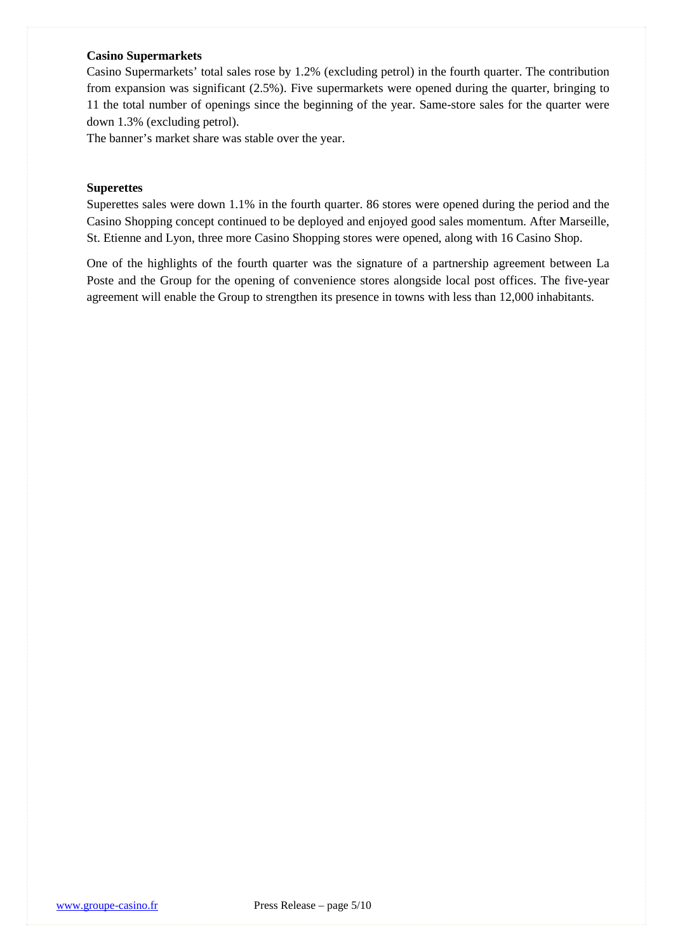### **Casino Supermarkets**

Casino Supermarkets' total sales rose by 1.2% (excluding petrol) in the fourth quarter. The contribution from expansion was significant (2.5%). Five supermarkets were opened during the quarter, bringing to 11 the total number of openings since the beginning of the year. Same-store sales for the quarter were down 1.3% (excluding petrol).

The banner's market share was stable over the year.

#### **Superettes**

Superettes sales were down 1.1% in the fourth quarter. 86 stores were opened during the period and the Casino Shopping concept continued to be deployed and enjoyed good sales momentum. After Marseille, St. Etienne and Lyon, three more Casino Shopping stores were opened, along with 16 Casino Shop.

One of the highlights of the fourth quarter was the signature of a partnership agreement between La Poste and the Group for the opening of convenience stores alongside local post offices. The five-year agreement will enable the Group to strengthen its presence in towns with less than 12,000 inhabitants.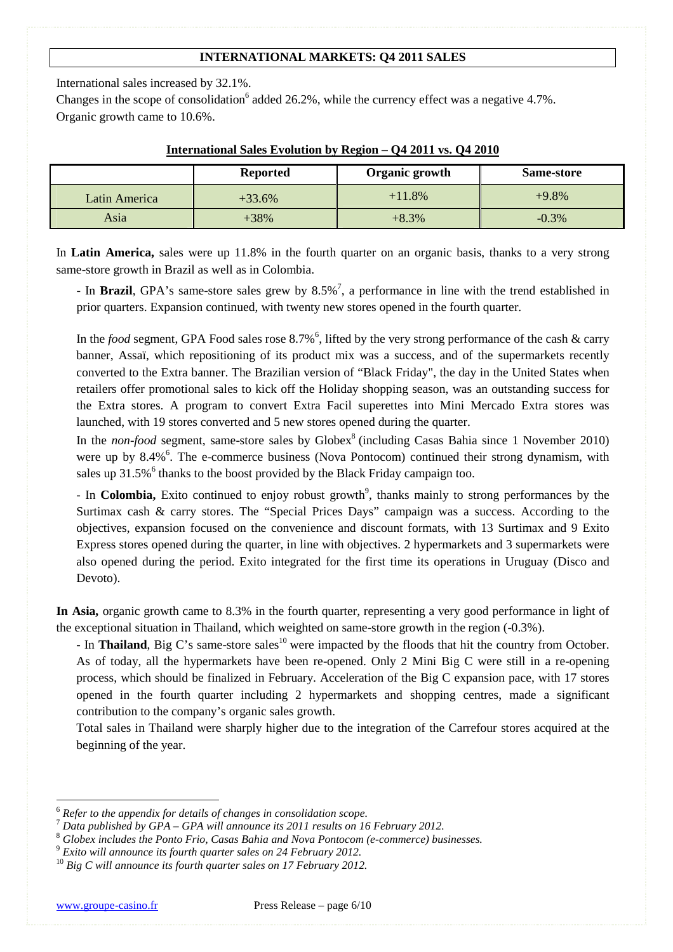## **INTERNATIONAL MARKETS: Q4 2011 SALES**

International sales increased by 32.1%.

Changes in the scope of consolidation<sup>6</sup> added 26.2%, while the currency effect was a negative 4.7%. Organic growth came to 10.6%.

|               | <b>Reported</b> | Organic growth | Same-store |
|---------------|-----------------|----------------|------------|
| Latin America | $+33.6%$        | $+11.8%$       | $+9.8\%$   |
| Asia          | $+38\%$         | $+8.3%$        | $-0.3\%$   |

#### **International Sales Evolution by Region – Q4 2011 vs. Q4 2010**

In **Latin America,** sales were up 11.8% in the fourth quarter on an organic basis, thanks to a very strong same-store growth in Brazil as well as in Colombia.

- In **Brazil**, GPA's same-store sales grew by 8.5%<sup>7</sup>, a performance in line with the trend established in prior quarters. Expansion continued, with twenty new stores opened in the fourth quarter.

In the *food* segment, GPA Food sales rose  $8.7\%$ <sup>6</sup>, lifted by the very strong performance of the cash & carry banner, Assaï, which repositioning of its product mix was a success, and of the supermarkets recently converted to the Extra banner. The Brazilian version of "Black Friday", the day in the United States when retailers offer promotional sales to kick off the Holiday shopping season, was an outstanding success for the Extra stores. A program to convert Extra Facil superettes into Mini Mercado Extra stores was launched, with 19 stores converted and 5 new stores opened during the quarter.

In the *non-food* segment, same-store sales by Globex<sup>8</sup> (including Casas Bahia since 1 November 2010) were up by 8.4%<sup>6</sup>. The e-commerce business (Nova Pontocom) continued their strong dynamism, with sales up  $31.5\%$ <sup>6</sup> thanks to the boost provided by the Black Friday campaign too.

- In **Colombia**, Exito continued to enjoy robust growth<sup>9</sup>, thanks mainly to strong performances by the Surtimax cash & carry stores. The "Special Prices Days" campaign was a success. According to the objectives, expansion focused on the convenience and discount formats, with 13 Surtimax and 9 Exito Express stores opened during the quarter, in line with objectives. 2 hypermarkets and 3 supermarkets were also opened during the period. Exito integrated for the first time its operations in Uruguay (Disco and Devoto).

**In Asia,** organic growth came to 8.3% in the fourth quarter, representing a very good performance in light of the exceptional situation in Thailand, which weighted on same-store growth in the region (-0.3%).

**-** In **Thailand**, Big C's same-store sales<sup>10</sup> were impacted by the floods that hit the country from October. As of today, all the hypermarkets have been re-opened. Only 2 Mini Big C were still in a re-opening process, which should be finalized in February. Acceleration of the Big C expansion pace, with 17 stores opened in the fourth quarter including 2 hypermarkets and shopping centres, made a significant contribution to the company's organic sales growth.

Total sales in Thailand were sharply higher due to the integration of the Carrefour stores acquired at the beginning of the year.

<sup>6</sup> *Refer to the appendix for details of changes in consolidation scope.* 

<sup>7</sup> *Data published by GPA – GPA will announce its 2011 results on 16 February 2012.* 

<sup>8</sup> *Globex includes the Ponto Frio, Casas Bahia and Nova Pontocom (e-commerce) businesses.* 

<sup>9</sup> *Exito will announce its fourth quarter sales on 24 February 2012.* 

<sup>10</sup> *Big C will announce its fourth quarter sales on 17 February 2012.*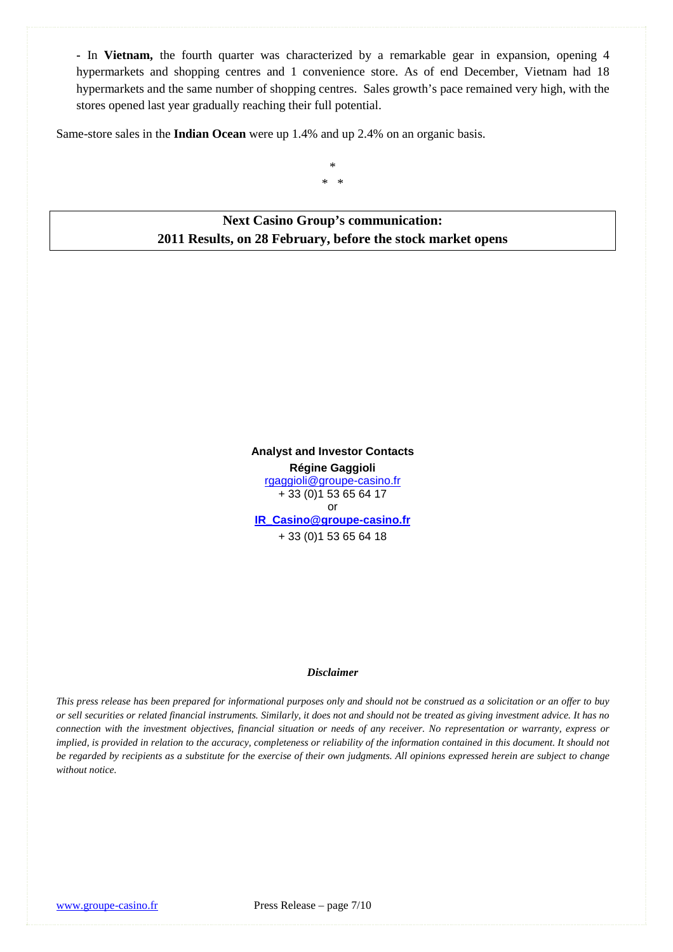**-** In **Vietnam,** the fourth quarter was characterized by a remarkable gear in expansion, opening 4 hypermarkets and shopping centres and 1 convenience store. As of end December, Vietnam had 18 hypermarkets and the same number of shopping centres. Sales growth's pace remained very high, with the stores opened last year gradually reaching their full potential.

Same-store sales in the **Indian Ocean** were up 1.4% and up 2.4% on an organic basis.

\* \* \*

**Next Casino Group's communication: 2011 Results, on 28 February, before the stock market opens** 

> **Analyst and Investor Contacts Régine Gaggioli** rgaggioli@groupe-casino.fr + 33 (0)1 53 65 64 17 or **IR\_Casino@groupe-casino.fr** + 33 (0)1 53 65 64 18

#### *Disclaimer*

*This press release has been prepared for informational purposes only and should not be construed as a solicitation or an offer to buy or sell securities or related financial instruments. Similarly, it does not and should not be treated as giving investment advice. It has no connection with the investment objectives, financial situation or needs of any receiver. No representation or warranty, express or implied, is provided in relation to the accuracy, completeness or reliability of the information contained in this document. It should not be regarded by recipients as a substitute for the exercise of their own judgments. All opinions expressed herein are subject to change without notice.*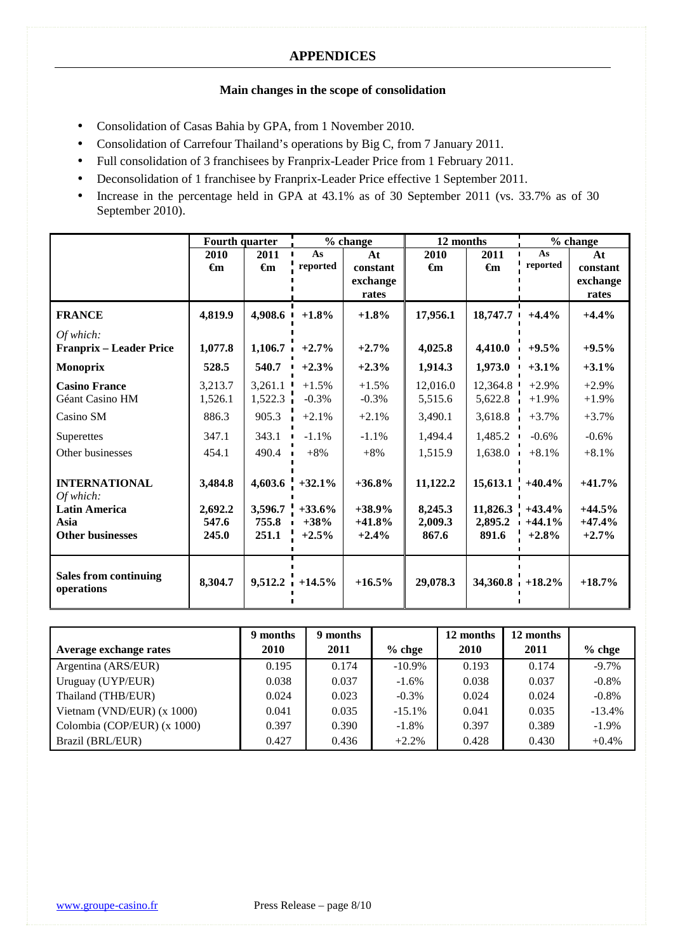## **Main changes in the scope of consolidation**

- Consolidation of Casas Bahia by GPA, from 1 November 2010.
- Consolidation of Carrefour Thailand's operations by Big C, from 7 January 2011.
- Full consolidation of 3 franchisees by Franprix-Leader Price from 1 February 2011.
- Deconsolidation of 1 franchisee by Franprix-Leader Price effective 1 September 2011.
- Increase in the percentage held in GPA at 43.1% as of 30 September 2011 (vs. 33.7% as of 30 September 2010).

|                                            | <b>Fourth quarter</b> |                |                   | % change  |                | 12 months          | % change |          |
|--------------------------------------------|-----------------------|----------------|-------------------|-----------|----------------|--------------------|----------|----------|
|                                            | 2010                  | 2011           | As                | At        | 2010           | 2011               | As       | At       |
|                                            | $\epsilon_{m}$        | $\epsilon_{m}$ | reported          | constant  | $\epsilon_{m}$ | $\epsilon_{m}$     | reported | constant |
|                                            |                       |                |                   | exchange  |                |                    |          | exchange |
|                                            |                       |                |                   | rates     |                |                    |          | rates    |
| <b>FRANCE</b>                              | 4,819.9               | 4,908.6        | $+1.8%$           | $+1.8%$   | 17,956.1       | 18,747.7           | $+4.4%$  | $+4.4%$  |
| Of which:                                  |                       |                |                   |           |                |                    |          |          |
| <b>Franprix – Leader Price</b>             | 1,077.8               | 1,106.7        | $+2.7%$           | $+2.7%$   | 4,025.8        | 4,410.0            | $+9.5%$  | $+9.5\%$ |
| <b>Monoprix</b>                            | 528.5                 | 540.7          | $+2.3%$           | $+2.3%$   | 1,914.3        | 1,973.0<br>- 11    | $+3.1%$  | $+3.1\%$ |
| <b>Casino France</b>                       | 3,213.7               | 3,261.1        | $+1.5%$           | $+1.5%$   | 12,016.0       | 12,364.8           | $+2.9%$  | $+2.9%$  |
| Géant Casino HM                            | 1,526.1               | 1,522.3        | $-0.3%$           | $-0.3%$   | 5,515.6        | 5,622.8            | $+1.9%$  | $+1.9%$  |
| Casino SM                                  | 886.3                 | 905.3          | $+2.1%$           | $+2.1%$   | 3,490.1        | 3,618.8            | $+3.7%$  | $+3.7%$  |
| Superettes                                 | 347.1                 | 343.1          | $-1.1%$           | $-1.1%$   | 1,494.4        | 1,485.2            | $-0.6%$  | $-0.6%$  |
| Other businesses                           | 454.1                 | 490.4          | $+8%$             | $+8%$     | 1,515.9        | 1,638.0            | $+8.1%$  | $+8.1%$  |
| <b>INTERNATIONAL</b>                       | 3,484.8               | 4,603.6        | $+32.1%$          | $+36.8%$  | 11,122.2       | $15,613.1 +40.4\%$ |          | $+41.7%$ |
| Of which:                                  |                       |                |                   |           |                |                    |          |          |
| <b>Latin America</b>                       | 2,692.2               | 3,596.7        | $+33.6%$          | $+38.9\%$ | 8,245.3        | $11,826.3$ +43.4%  |          | $+44.5%$ |
| Asia                                       | 547.6                 | 755.8          | $+38%$            | $+41.8%$  | 2,009.3        | 2,895.2            | $+44.1%$ | $+47.4%$ |
| <b>Other businesses</b>                    | 245.0                 | 251.1          | $+2.5%$           | $+2.4%$   | 867.6          | 891.6              | $+2.8\%$ | $+2.7%$  |
|                                            |                       |                |                   |           |                |                    |          |          |
| <b>Sales from continuing</b><br>operations | 8,304.7               |                | $9,512.2 +14.5\%$ | $+16.5%$  | 29,078.3       | $34,360.8 +18.2\%$ |          | $+18.7%$ |

|                              | 9 months | 9 months |           | 12 months   | 12 months |          |
|------------------------------|----------|----------|-----------|-------------|-----------|----------|
| Average exchange rates       | 2010     | 2011     | $%$ chge  | <b>2010</b> | 2011      | $%$ chge |
| Argentina (ARS/EUR)          | 0.195    | 0.174    | $-10.9\%$ | 0.193       | 0.174     | $-9.7\%$ |
| Uruguay (UYP/EUR)            | 0.038    | 0.037    | $-1.6\%$  | 0.038       | 0.037     | $-0.8\%$ |
| Thailand (THB/EUR)           | 0.024    | 0.023    | $-0.3\%$  | 0.024       | 0.024     | $-0.8\%$ |
| Vietnam (VND/EUR) $(x 1000)$ | 0.041    | 0.035    | $-15.1%$  | 0.041       | 0.035     | $-13.4%$ |
| Colombia (COP/EUR) (x 1000)  | 0.397    | 0.390    | $-1.8%$   | 0.397       | 0.389     | $-1.9\%$ |
| Brazil (BRL/EUR)             | 0.427    | 0.436    | $+2.2%$   | 0.428       | 0.430     | $+0.4%$  |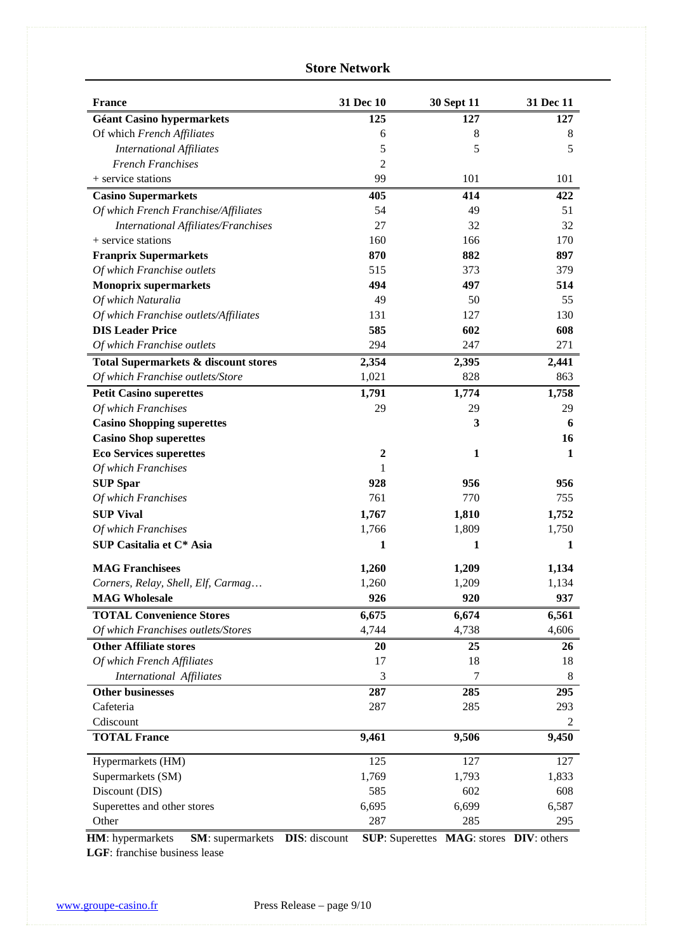## **Store Network**

| <b>France</b>                              | 31 Dec 10        | <b>30 Sept 11</b> | 31 Dec 11 |
|--------------------------------------------|------------------|-------------------|-----------|
| <b>Géant Casino hypermarkets</b>           | 125              | 127               | 127       |
| Of which French Affiliates                 | 6                | 8                 | 8         |
| <b>International Affiliates</b>            | 5                | 5                 | 5         |
| <b>French Franchises</b>                   | $\overline{c}$   |                   |           |
| + service stations                         | 99               | 101               | 101       |
| <b>Casino Supermarkets</b>                 | 405              | 414               | 422       |
| Of which French Franchise/Affiliates       | 54               | 49                | 51        |
| <b>International Affiliates/Franchises</b> | 27               | 32                | 32        |
| + service stations                         | 160              | 166               | 170       |
| <b>Franprix Supermarkets</b>               | 870              | 882               | 897       |
| Of which Franchise outlets                 | 515              | 373               | 379       |
| <b>Monoprix supermarkets</b>               | 494              | 497               | 514       |
| Of which Naturalia                         | 49               | 50                | 55        |
| Of which Franchise outlets/Affiliates      | 131              | 127               | 130       |
| <b>DIS Leader Price</b>                    | 585              | 602               | 608       |
| Of which Franchise outlets                 | 294              | 247               | 271       |
| Total Supermarkets & discount stores       | 2,354            | 2,395             | 2,441     |
| Of which Franchise outlets/Store           | 1,021            | 828               | 863       |
| <b>Petit Casino superettes</b>             | 1,791            | 1,774             | 1,758     |
| Of which Franchises                        | 29               | 29                | 29        |
| <b>Casino Shopping superettes</b>          |                  | 3                 | 6         |
| <b>Casino Shop superettes</b>              |                  |                   | 16        |
| <b>Eco Services superettes</b>             | $\boldsymbol{2}$ | $\mathbf{1}$      | 1         |
| Of which Franchises                        | 1                |                   |           |
| <b>SUP Spar</b>                            | 928              | 956               | 956       |
| Of which Franchises                        | 761              | 770               | 755       |
| <b>SUP Vival</b>                           | 1,767            | 1,810             | 1,752     |
| Of which Franchises                        | 1,766            | 1,809             | 1,750     |
| SUP Casitalia et C* Asia                   | 1                | 1                 | 1         |
| <b>MAG Franchisees</b>                     | 1,260            | 1,209             | 1,134     |
| Corners, Relay, Shell, Elf, Carmag         | 1,260            | 1,209             | 1,134     |
| <b>MAG Wholesale</b>                       | 926              | 920               | 937       |
| <b>TOTAL Convenience Stores</b>            | 6,675            | 6,674             | 6,561     |
| Of which Franchises outlets/Stores         | 4,744            | 4,738             | 4,606     |
| <b>Other Affiliate stores</b>              | 20               | 25                | 26        |
| Of which French Affiliates                 | 17               | 18                | 18        |
| International Affiliates                   | 3                | 7                 | 8         |
| <b>Other businesses</b>                    | 287              | 285               | 295       |
| Cafeteria                                  | 287              | 285               | 293       |
| Cdiscount                                  |                  |                   | 2         |
| <b>TOTAL France</b>                        | 9,461            | 9,506             | 9,450     |
| Hypermarkets (HM)                          | 125              | 127               | 127       |
| Supermarkets (SM)                          | 1,769            | 1,793             | 1,833     |
| Discount (DIS)                             | 585              | 602               | 608       |
| Superettes and other stores                | 6,695            | 6,699             | 6,587     |
| Other                                      | 287              | 285               | 295       |
|                                            |                  |                   |           |

**HM**: hypermarkets **SM**: supermarkets **DIS**: discount **SUP**: Superettes **MAG**: stores **DIV**: others **LGF**: franchise business lease